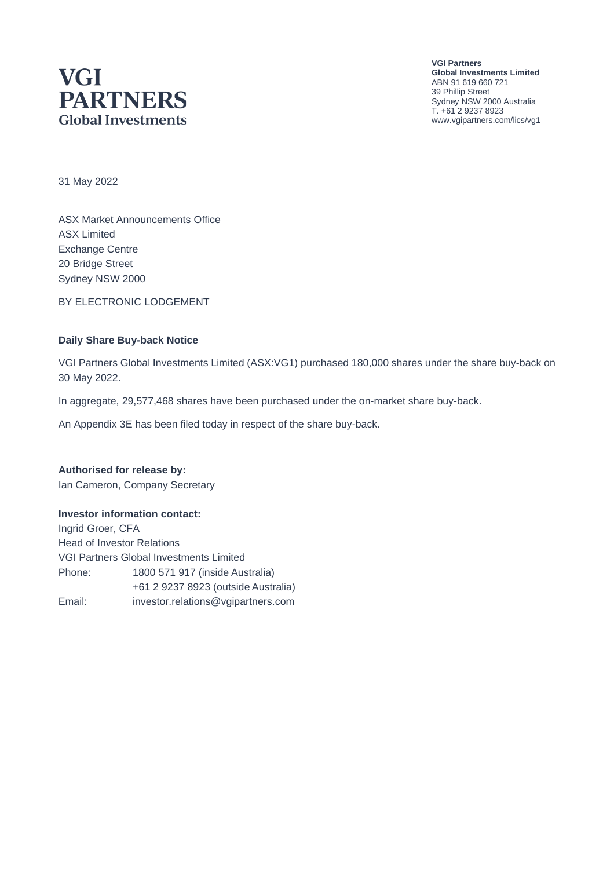# **VGI PARTNERS Global Investments**

**VGI Partners Global Investments Limited** ABN 91 619 660 721 39 Phillip Street Sydney NSW 2000 Australia T. +61 2 9237 8923 www.vgipartners.com/lics/vg1

31 May 2022

ASX Market Announcements Office ASX Limited Exchange Centre 20 Bridge Street Sydney NSW 2000

BY ELECTRONIC LODGEMENT

#### **Daily Share Buy-back Notice**

VGI Partners Global Investments Limited (ASX:VG1) purchased 180,000 shares under the share buy-back on 30 May 2022.

In aggregate, 29,577,468 shares have been purchased under the on-market share buy-back.

An Appendix 3E has been filed today in respect of the share buy-back.

#### **Authorised for release by:**

Ian Cameron, Company Secretary

#### **Investor information contact:**

Ingrid Groer, CFA Head of Investor Relations VGI Partners Global Investments Limited Phone: 1800 571 917 (inside Australia) +61 2 9237 8923 (outside Australia) Email: investor.relations@vgipartners.com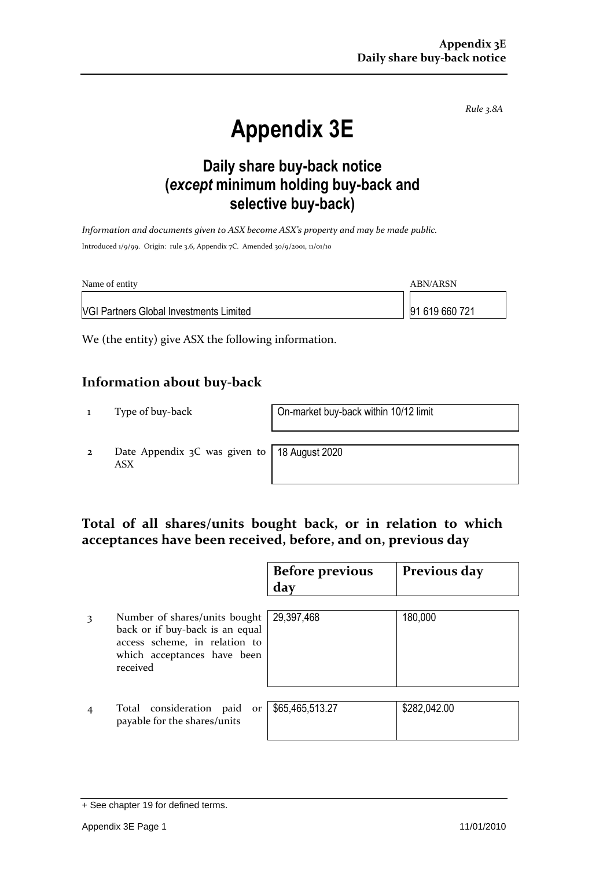*Rule 3.8A*

# **Appendix 3E**

## **Daily share buy-back notice (***except* **minimum holding buy-back and selective buy-back)**

*Information and documents given to ASX become ASX's property and may be made public.* Introduced 1/9/99. Origin: rule 3.6, Appendix 7C. Amended 30/9/2001, 11/01/10

| Name of entity                                 | ABN/ARSN       |
|------------------------------------------------|----------------|
| <b>VGI Partners Global Investments Limited</b> | 91 619 660 721 |

We (the entity) give ASX the following information.

### **Information about buy-back**

1 Type of buy-back On-market buy-back within 10/12 limit

2 Date Appendix 3C was given to ASX

18 August 2020

## **Total of all shares/units bought back, or in relation to which acceptances have been received, before, and on, previous day**

|   |                                                                                                                                              | <b>Before previous</b> | Previous day |
|---|----------------------------------------------------------------------------------------------------------------------------------------------|------------------------|--------------|
|   |                                                                                                                                              | day                    |              |
| 3 | Number of shares/units bought<br>back or if buy-back is an equal<br>access scheme, in relation to<br>which acceptances have been<br>received | 29,397,468             | 180,000      |
|   | Total consideration paid<br>or<br>payable for the shares/units                                                                               | \$65,465,513.27        | \$282,042.00 |

<sup>+</sup> See chapter 19 for defined terms.